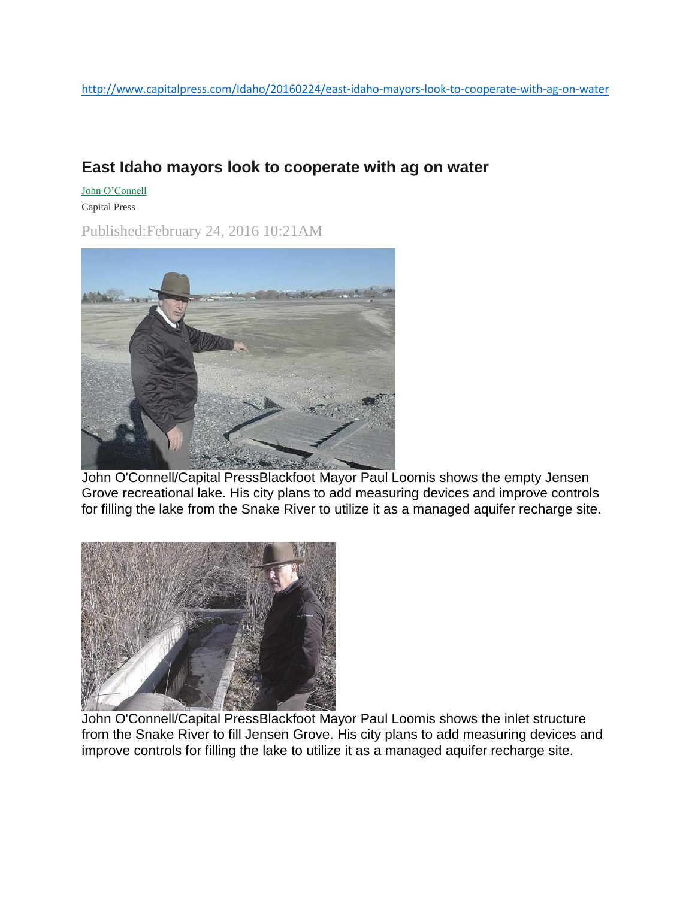## **East Idaho mayors look to cooperate with ag on water**

John [O'Connell](http://www.capitalpress.com/apps/pbcs.dll/section?category=staff&template=staffProfilePages&staffID=joconnell)

Capital Press

Published:February 24, 2016 10:21AM



John O'Connell/Capital PressBlackfoot Mayor Paul Loomis shows the empty Jensen Grove recreational lake. His city plans to add measuring devices and improve controls for filling the lake from the Snake River to utilize it as a managed aquifer recharge site.



John O'Connell/Capital PressBlackfoot Mayor Paul Loomis shows the inlet structure from the Snake River to fill Jensen Grove. His city plans to add measuring devices and improve controls for filling the lake to utilize it as a managed aquifer recharge site.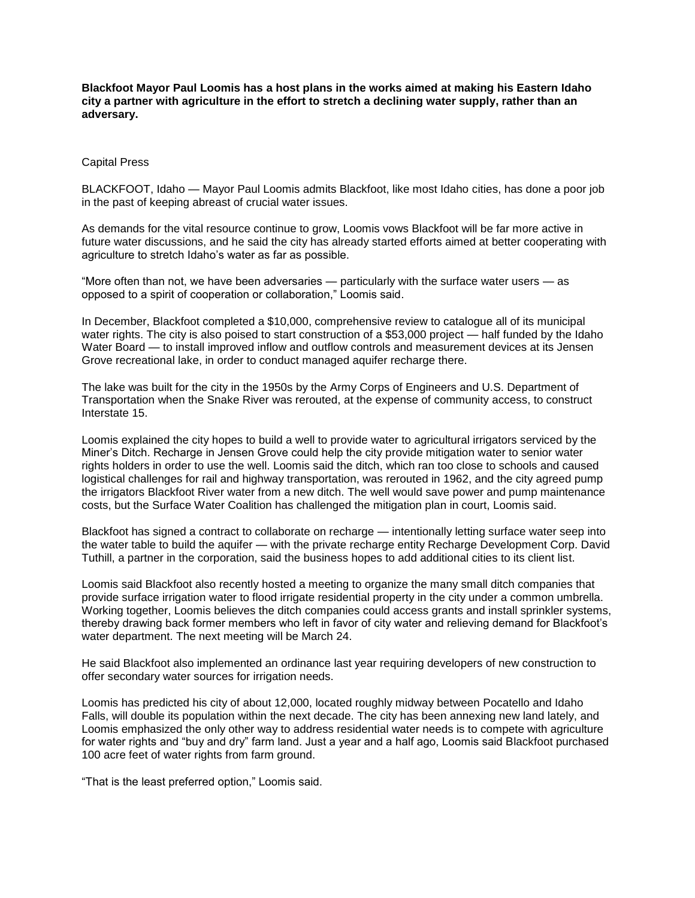**Blackfoot Mayor Paul Loomis has a host plans in the works aimed at making his Eastern Idaho city a partner with agriculture in the effort to stretch a declining water supply, rather than an adversary.**

## Capital Press

BLACKFOOT, Idaho — Mayor Paul Loomis admits Blackfoot, like most Idaho cities, has done a poor job in the past of keeping abreast of crucial water issues.

As demands for the vital resource continue to grow, Loomis vows Blackfoot will be far more active in future water discussions, and he said the city has already started efforts aimed at better cooperating with agriculture to stretch Idaho's water as far as possible.

"More often than not, we have been adversaries — particularly with the surface water users — as opposed to a spirit of cooperation or collaboration," Loomis said.

In December, Blackfoot completed a \$10,000, comprehensive review to catalogue all of its municipal water rights. The city is also poised to start construction of a \$53,000 project — half funded by the Idaho Water Board — to install improved inflow and outflow controls and measurement devices at its Jensen Grove recreational lake, in order to conduct managed aquifer recharge there.

The lake was built for the city in the 1950s by the Army Corps of Engineers and U.S. Department of Transportation when the Snake River was rerouted, at the expense of community access, to construct Interstate 15.

Loomis explained the city hopes to build a well to provide water to agricultural irrigators serviced by the Miner's Ditch. Recharge in Jensen Grove could help the city provide mitigation water to senior water rights holders in order to use the well. Loomis said the ditch, which ran too close to schools and caused logistical challenges for rail and highway transportation, was rerouted in 1962, and the city agreed pump the irrigators Blackfoot River water from a new ditch. The well would save power and pump maintenance costs, but the Surface Water Coalition has challenged the mitigation plan in court, Loomis said.

Blackfoot has signed a contract to collaborate on recharge — intentionally letting surface water seep into the water table to build the aquifer — with the private recharge entity Recharge Development Corp. David Tuthill, a partner in the corporation, said the business hopes to add additional cities to its client list.

Loomis said Blackfoot also recently hosted a meeting to organize the many small ditch companies that provide surface irrigation water to flood irrigate residential property in the city under a common umbrella. Working together, Loomis believes the ditch companies could access grants and install sprinkler systems, thereby drawing back former members who left in favor of city water and relieving demand for Blackfoot's water department. The next meeting will be March 24.

He said Blackfoot also implemented an ordinance last year requiring developers of new construction to offer secondary water sources for irrigation needs.

Loomis has predicted his city of about 12,000, located roughly midway between Pocatello and Idaho Falls, will double its population within the next decade. The city has been annexing new land lately, and Loomis emphasized the only other way to address residential water needs is to compete with agriculture for water rights and "buy and dry" farm land. Just a year and a half ago, Loomis said Blackfoot purchased 100 acre feet of water rights from farm ground.

"That is the least preferred option," Loomis said.